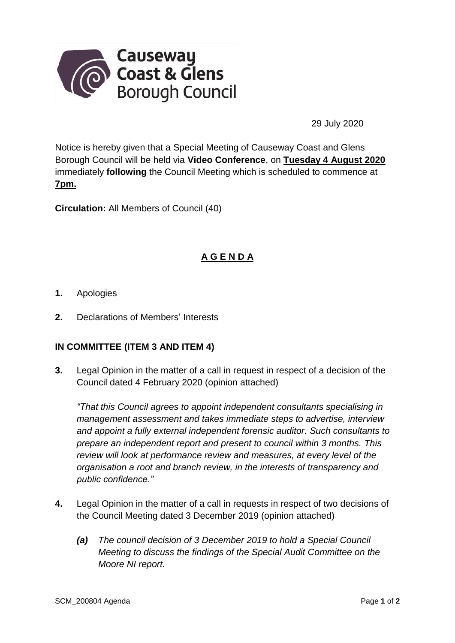

29 July 2020

Notice is hereby given that a Special Meeting of Causeway Coast and Glens Borough Council will be held via **Video Conference**, on **Tuesday 4 August 2020** immediately **following** the Council Meeting which is scheduled to commence at **7pm.**

**Circulation:** All Members of Council (40)

## **A G E N D A**

- **1.** Apologies
- **2.** Declarations of Members' Interests

## **IN COMMITTEE (ITEM 3 AND ITEM 4)**

**3.** Legal Opinion in the matter of a call in request in respect of a decision of the Council dated 4 February 2020 (opinion attached)

*"That this Council agrees to appoint independent consultants specialising in management assessment and takes immediate steps to advertise, interview and appoint a fully external independent forensic auditor. Such consultants to prepare an independent report and present to council within 3 months. This review will look at performance review and measures, at every level of the organisation a root and branch review, in the interests of transparency and public confidence."*

- **4.** Legal Opinion in the matter of a call in requests in respect of two decisions of the Council Meeting dated 3 December 2019 (opinion attached)
	- *(a) The council decision of 3 December 2019 to hold a Special Council Meeting to discuss the findings of the Special Audit Committee on the Moore NI report.*